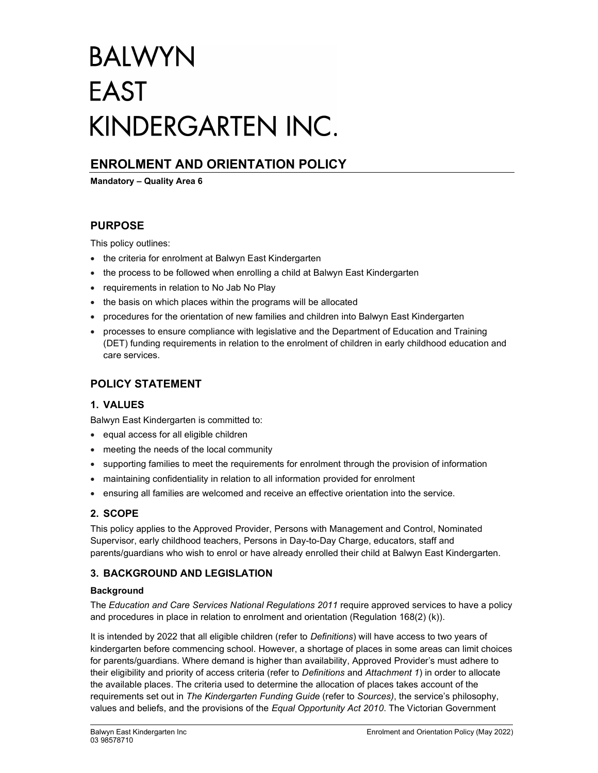# **BALWYN EAST** KINDERGARTEN INC.

## ENROLMENT AND ORIENTATION POLICY

Mandatory – Quality Area 6

## PURPOSE

This policy outlines:

- the criteria for enrolment at Balwyn East Kindergarten
- the process to be followed when enrolling a child at Balwyn East Kindergarten
- requirements in relation to No Jab No Play
- the basis on which places within the programs will be allocated
- procedures for the orientation of new families and children into Balwyn East Kindergarten
- processes to ensure compliance with legislative and the Department of Education and Training (DET) funding requirements in relation to the enrolment of children in early childhood education and care services.

## POLICY STATEMENT

## 1. VALUES

Balwyn East Kindergarten is committed to:

- equal access for all eligible children
- meeting the needs of the local community
- supporting families to meet the requirements for enrolment through the provision of information
- maintaining confidentiality in relation to all information provided for enrolment
- ensuring all families are welcomed and receive an effective orientation into the service.

## 2. SCOPE

This policy applies to the Approved Provider, Persons with Management and Control, Nominated Supervisor, early childhood teachers, Persons in Day-to-Day Charge, educators, staff and parents/guardians who wish to enrol or have already enrolled their child at Balwyn East Kindergarten.

## 3. BACKGROUND AND LEGISLATION

## **Background**

The Education and Care Services National Regulations 2011 require approved services to have a policy and procedures in place in relation to enrolment and orientation (Regulation 168(2) (k)).

It is intended by 2022 that all eligible children (refer to Definitions) will have access to two years of kindergarten before commencing school. However, a shortage of places in some areas can limit choices for parents/guardians. Where demand is higher than availability, Approved Provider's must adhere to their eligibility and priority of access criteria (refer to Definitions and Attachment 1) in order to allocate the available places. The criteria used to determine the allocation of places takes account of the requirements set out in The Kindergarten Funding Guide (refer to Sources), the service's philosophy, values and beliefs, and the provisions of the Equal Opportunity Act 2010. The Victorian Government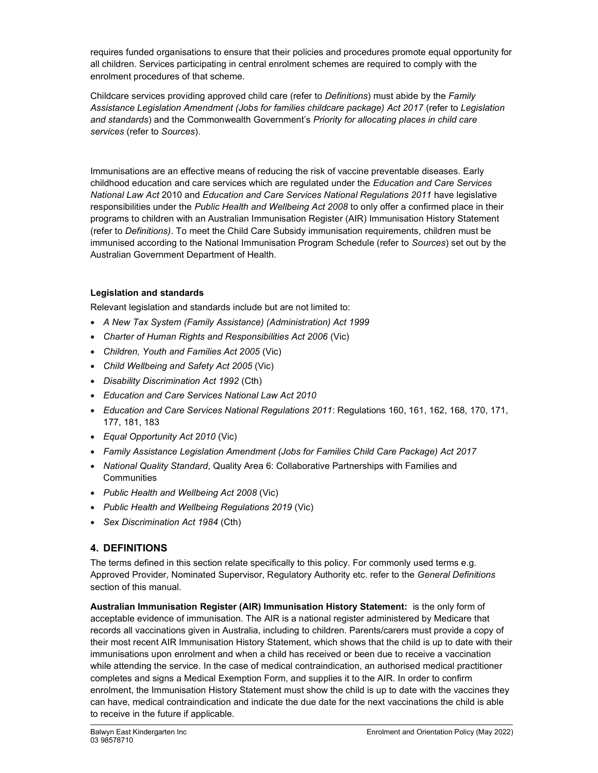requires funded organisations to ensure that their policies and procedures promote equal opportunity for all children. Services participating in central enrolment schemes are required to comply with the enrolment procedures of that scheme.

Childcare services providing approved child care (refer to Definitions) must abide by the Family Assistance Legislation Amendment (Jobs for families childcare package) Act 2017 (refer to Legislation and standards) and the Commonwealth Government's Priority for allocating places in child care services (refer to Sources).

Immunisations are an effective means of reducing the risk of vaccine preventable diseases. Early childhood education and care services which are regulated under the Education and Care Services National Law Act 2010 and Education and Care Services National Regulations 2011 have legislative responsibilities under the Public Health and Wellbeing Act 2008 to only offer a confirmed place in their programs to children with an Australian Immunisation Register (AIR) Immunisation History Statement (refer to Definitions). To meet the Child Care Subsidy immunisation requirements, children must be immunised according to the National Immunisation Program Schedule (refer to Sources) set out by the Australian Government Department of Health.

## Legislation and standards

Relevant legislation and standards include but are not limited to:

- A New Tax System (Family Assistance) (Administration) Act 1999
- Charter of Human Rights and Responsibilities Act 2006 (Vic)
- Children, Youth and Families Act 2005 (Vic)
- Child Wellbeing and Safety Act 2005 (Vic)
- Disability Discrimination Act 1992 (Cth)
- Education and Care Services National Law Act 2010
- Education and Care Services National Regulations 2011: Regulations 160, 161, 162, 168, 170, 171, 177, 181, 183
- Equal Opportunity Act 2010 (Vic)
- Family Assistance Legislation Amendment (Jobs for Families Child Care Package) Act 2017
- National Quality Standard, Quality Area 6: Collaborative Partnerships with Families and **Communities**
- Public Health and Wellbeing Act 2008 (Vic)
- Public Health and Wellbeing Regulations 2019 (Vic)
- Sex Discrimination Act 1984 (Cth)

## 4. DEFINITIONS

The terms defined in this section relate specifically to this policy. For commonly used terms e.g. Approved Provider, Nominated Supervisor, Regulatory Authority etc. refer to the General Definitions section of this manual.

Australian Immunisation Register (AIR) Immunisation History Statement: is the only form of acceptable evidence of immunisation. The AIR is a national register administered by Medicare that records all vaccinations given in Australia, including to children. Parents/carers must provide a copy of their most recent AIR Immunisation History Statement, which shows that the child is up to date with their immunisations upon enrolment and when a child has received or been due to receive a vaccination while attending the service. In the case of medical contraindication, an authorised medical practitioner completes and signs a Medical Exemption Form, and supplies it to the AIR. In order to confirm enrolment, the Immunisation History Statement must show the child is up to date with the vaccines they can have, medical contraindication and indicate the due date for the next vaccinations the child is able to receive in the future if applicable.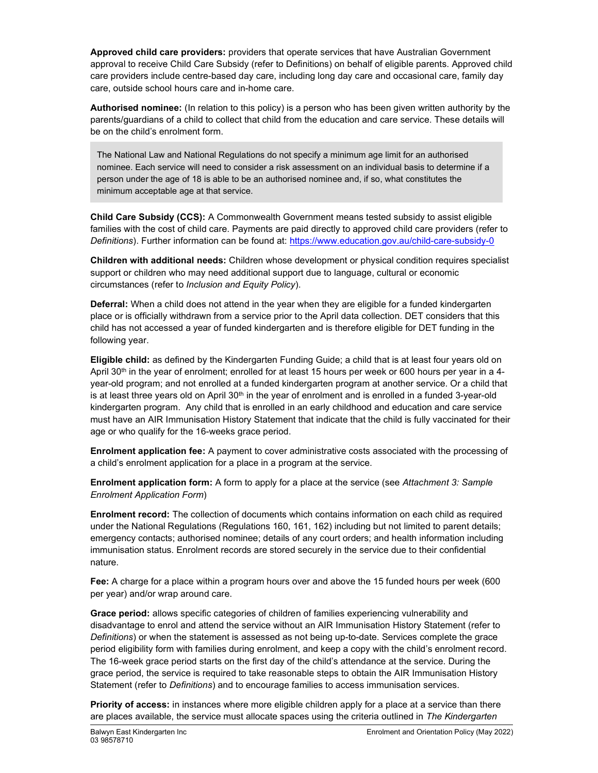Approved child care providers: providers that operate services that have Australian Government approval to receive Child Care Subsidy (refer to Definitions) on behalf of eligible parents. Approved child care providers include centre-based day care, including long day care and occasional care, family day care, outside school hours care and in-home care.

Authorised nominee: (In relation to this policy) is a person who has been given written authority by the parents/guardians of a child to collect that child from the education and care service. These details will be on the child's enrolment form.

The National Law and National Regulations do not specify a minimum age limit for an authorised nominee. Each service will need to consider a risk assessment on an individual basis to determine if a person under the age of 18 is able to be an authorised nominee and, if so, what constitutes the minimum acceptable age at that service.

Child Care Subsidy (CCS): A Commonwealth Government means tested subsidy to assist eligible families with the cost of child care. Payments are paid directly to approved child care providers (refer to Definitions). Further information can be found at: https://www.education.gov.au/child-care-subsidy-0

Children with additional needs: Children whose development or physical condition requires specialist support or children who may need additional support due to language, cultural or economic circumstances (refer to Inclusion and Equity Policy).

Deferral: When a child does not attend in the year when they are eligible for a funded kindergarten place or is officially withdrawn from a service prior to the April data collection. DET considers that this child has not accessed a year of funded kindergarten and is therefore eligible for DET funding in the following year.

Eligible child: as defined by the Kindergarten Funding Guide; a child that is at least four years old on April 30<sup>th</sup> in the year of enrolment; enrolled for at least 15 hours per week or 600 hours per year in a 4year-old program; and not enrolled at a funded kindergarten program at another service. Or a child that is at least three years old on April  $30<sup>th</sup>$  in the year of enrolment and is enrolled in a funded  $3$ -year-old kindergarten program. Any child that is enrolled in an early childhood and education and care service must have an AIR Immunisation History Statement that indicate that the child is fully vaccinated for their age or who qualify for the 16-weeks grace period.

Enrolment application fee: A payment to cover administrative costs associated with the processing of a child's enrolment application for a place in a program at the service.

Enrolment application form: A form to apply for a place at the service (see Attachment 3: Sample Enrolment Application Form)

Enrolment record: The collection of documents which contains information on each child as required under the National Regulations (Regulations 160, 161, 162) including but not limited to parent details; emergency contacts; authorised nominee; details of any court orders; and health information including immunisation status. Enrolment records are stored securely in the service due to their confidential nature.

Fee: A charge for a place within a program hours over and above the 15 funded hours per week (600 per year) and/or wrap around care.

Grace period: allows specific categories of children of families experiencing vulnerability and disadvantage to enrol and attend the service without an AIR Immunisation History Statement (refer to Definitions) or when the statement is assessed as not being up-to-date. Services complete the grace period eligibility form with families during enrolment, and keep a copy with the child's enrolment record. The 16-week grace period starts on the first day of the child's attendance at the service. During the grace period, the service is required to take reasonable steps to obtain the AIR Immunisation History Statement (refer to Definitions) and to encourage families to access immunisation services.

**Priority of access:** in instances where more eligible children apply for a place at a service than there are places available, the service must allocate spaces using the criteria outlined in The Kindergarten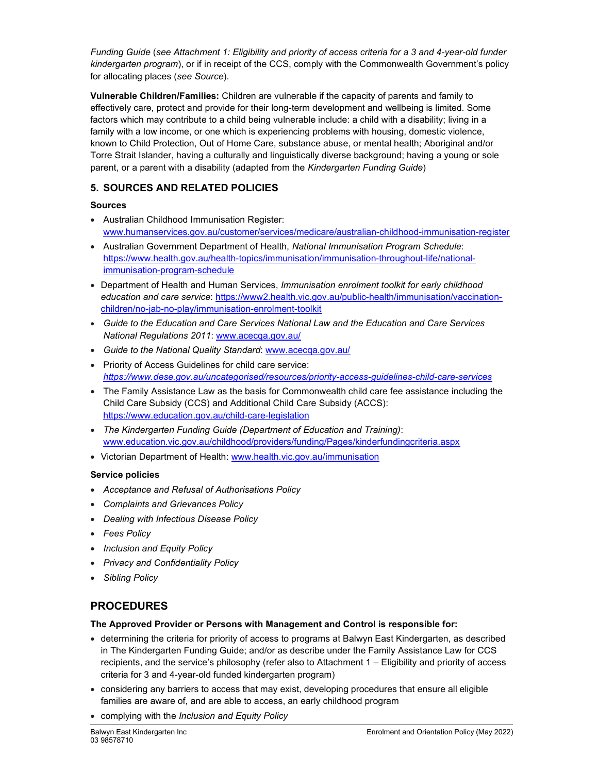Funding Guide (see Attachment 1: Eligibility and priority of access criteria for a 3 and 4-year-old funder kindergarten program), or if in receipt of the CCS, comply with the Commonwealth Government's policy for allocating places (see Source).

Vulnerable Children/Families: Children are vulnerable if the capacity of parents and family to effectively care, protect and provide for their long-term development and wellbeing is limited. Some factors which may contribute to a child being vulnerable include: a child with a disability; living in a family with a low income, or one which is experiencing problems with housing, domestic violence, known to Child Protection, Out of Home Care, substance abuse, or mental health; Aboriginal and/or Torre Strait Islander, having a culturally and linguistically diverse background; having a young or sole parent, or a parent with a disability (adapted from the Kindergarten Funding Guide)

## 5. SOURCES AND RELATED POLICIES

## Sources

- Australian Childhood Immunisation Register: www.humanservices.gov.au/customer/services/medicare/australian-childhood-immunisation-register
- Australian Government Department of Health, National Immunisation Program Schedule: https://www.health.gov.au/health-topics/immunisation/immunisation-throughout-life/nationalimmunisation-program-schedule
- Department of Health and Human Services, Immunisation enrolment toolkit for early childhood education and care service: https://www2.health.vic.gov.au/public-health/immunisation/vaccinationchildren/no-jab-no-play/immunisation-enrolment-toolkit
- Guide to the Education and Care Services National Law and the Education and Care Services National Regulations 2011: www.acecqa.gov.au/
- Guide to the National Quality Standard: www.acecqa.gov.au/
- Priority of Access Guidelines for child care service: https://www.dese.gov.au/uncategorised/resources/priority-access-guidelines-child-care-services
- The Family Assistance Law as the basis for Commonwealth child care fee assistance including the Child Care Subsidy (CCS) and Additional Child Care Subsidy (ACCS): https://www.education.gov.au/child-care-legislation
- The Kindergarten Funding Guide (Department of Education and Training): www.education.vic.gov.au/childhood/providers/funding/Pages/kinderfundingcriteria.aspx
- Victorian Department of Health: www.health.vic.gov.au/immunisation

## Service policies

- Acceptance and Refusal of Authorisations Policy
- Complaints and Grievances Policy
- Dealing with Infectious Disease Policy
- Fees Policy
- Inclusion and Equity Policy
- Privacy and Confidentiality Policy
- Sibling Policy

# PROCEDURES

## The Approved Provider or Persons with Management and Control is responsible for:

- determining the criteria for priority of access to programs at Balwyn East Kindergarten, as described in The Kindergarten Funding Guide; and/or as describe under the Family Assistance Law for CCS recipients, and the service's philosophy (refer also to Attachment 1 – Eligibility and priority of access criteria for 3 and 4-year-old funded kindergarten program)
- considering any barriers to access that may exist, developing procedures that ensure all eligible families are aware of, and are able to access, an early childhood program
- complying with the Inclusion and Equity Policy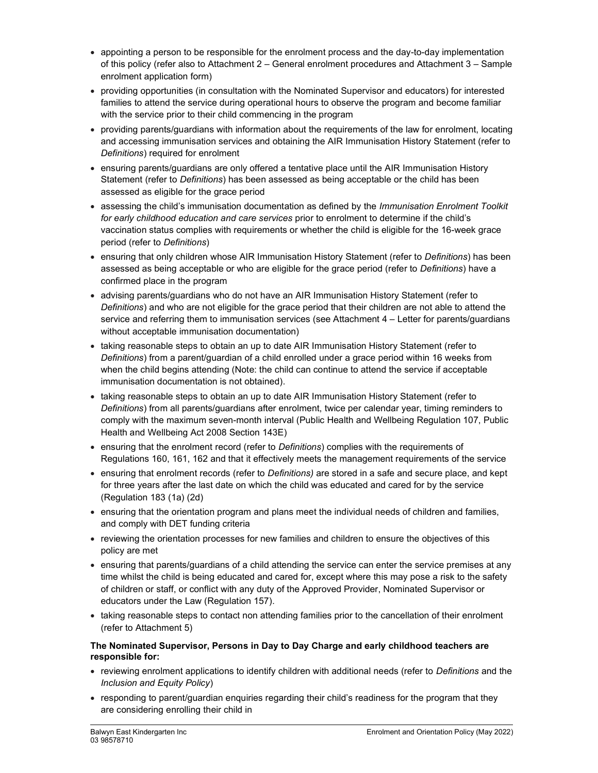- appointing a person to be responsible for the enrolment process and the day-to-day implementation of this policy (refer also to Attachment 2 – General enrolment procedures and Attachment 3 – Sample enrolment application form)
- providing opportunities (in consultation with the Nominated Supervisor and educators) for interested families to attend the service during operational hours to observe the program and become familiar with the service prior to their child commencing in the program
- providing parents/guardians with information about the requirements of the law for enrolment, locating and accessing immunisation services and obtaining the AIR Immunisation History Statement (refer to Definitions) required for enrolment
- ensuring parents/guardians are only offered a tentative place until the AIR Immunisation History Statement (refer to Definitions) has been assessed as being acceptable or the child has been assessed as eligible for the grace period
- assessing the child's immunisation documentation as defined by the Immunisation Enrolment Toolkit for early childhood education and care services prior to enrolment to determine if the child's vaccination status complies with requirements or whether the child is eligible for the 16-week grace period (refer to Definitions)
- ensuring that only children whose AIR Immunisation History Statement (refer to Definitions) has been assessed as being acceptable or who are eligible for the grace period (refer to Definitions) have a confirmed place in the program
- advising parents/guardians who do not have an AIR Immunisation History Statement (refer to Definitions) and who are not eligible for the grace period that their children are not able to attend the service and referring them to immunisation services (see Attachment 4 – Letter for parents/guardians without acceptable immunisation documentation)
- taking reasonable steps to obtain an up to date AIR Immunisation History Statement (refer to Definitions) from a parent/guardian of a child enrolled under a grace period within 16 weeks from when the child begins attending (Note: the child can continue to attend the service if acceptable immunisation documentation is not obtained).
- taking reasonable steps to obtain an up to date AIR Immunisation History Statement (refer to Definitions) from all parents/guardians after enrolment, twice per calendar year, timing reminders to comply with the maximum seven-month interval (Public Health and Wellbeing Regulation 107, Public Health and Wellbeing Act 2008 Section 143E)
- ensuring that the enrolment record (refer to Definitions) complies with the requirements of Regulations 160, 161, 162 and that it effectively meets the management requirements of the service
- ensuring that enrolment records (refer to Definitions) are stored in a safe and secure place, and kept for three years after the last date on which the child was educated and cared for by the service (Regulation 183 (1a) (2d)
- ensuring that the orientation program and plans meet the individual needs of children and families, and comply with DET funding criteria
- reviewing the orientation processes for new families and children to ensure the objectives of this policy are met
- ensuring that parents/guardians of a child attending the service can enter the service premises at any time whilst the child is being educated and cared for, except where this may pose a risk to the safety of children or staff, or conflict with any duty of the Approved Provider, Nominated Supervisor or educators under the Law (Regulation 157).
- taking reasonable steps to contact non attending families prior to the cancellation of their enrolment (refer to Attachment 5)

#### The Nominated Supervisor, Persons in Day to Day Charge and early childhood teachers are responsible for:

- reviewing enrolment applications to identify children with additional needs (refer to Definitions and the Inclusion and Equity Policy)
- responding to parent/guardian enquiries regarding their child's readiness for the program that they are considering enrolling their child in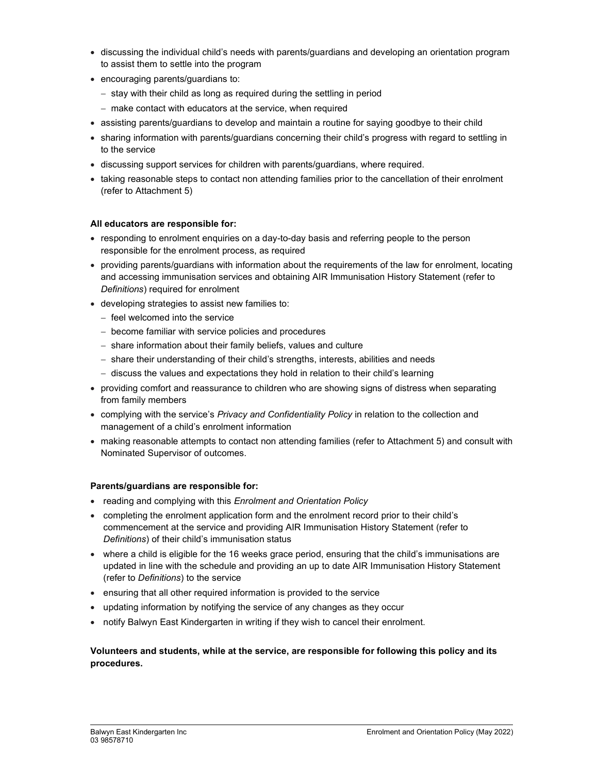- discussing the individual child's needs with parents/guardians and developing an orientation program to assist them to settle into the program
- encouraging parents/guardians to:
	- $-$  stay with their child as long as required during the settling in period
	- make contact with educators at the service, when required
- assisting parents/guardians to develop and maintain a routine for saying goodbye to their child
- sharing information with parents/guardians concerning their child's progress with regard to settling in to the service
- discussing support services for children with parents/guardians, where required.
- taking reasonable steps to contact non attending families prior to the cancellation of their enrolment (refer to Attachment 5)

#### All educators are responsible for:

- responding to enrolment enquiries on a day-to-day basis and referring people to the person responsible for the enrolment process, as required
- providing parents/guardians with information about the requirements of the law for enrolment, locating and accessing immunisation services and obtaining AIR Immunisation History Statement (refer to Definitions) required for enrolment
- developing strategies to assist new families to:
	- $-$  feel welcomed into the service
	- become familiar with service policies and procedures
	- share information about their family beliefs, values and culture
	- share their understanding of their child's strengths, interests, abilities and needs
	- $-$  discuss the values and expectations they hold in relation to their child's learning
- providing comfort and reassurance to children who are showing signs of distress when separating from family members
- complying with the service's Privacy and Confidentiality Policy in relation to the collection and management of a child's enrolment information
- making reasonable attempts to contact non attending families (refer to Attachment 5) and consult with Nominated Supervisor of outcomes.

#### Parents/guardians are responsible for:

- reading and complying with this Enrolment and Orientation Policy
- completing the enrolment application form and the enrolment record prior to their child's commencement at the service and providing AIR Immunisation History Statement (refer to Definitions) of their child's immunisation status
- where a child is eligible for the 16 weeks grace period, ensuring that the child's immunisations are updated in line with the schedule and providing an up to date AIR Immunisation History Statement (refer to Definitions) to the service
- ensuring that all other required information is provided to the service
- updating information by notifying the service of any changes as they occur
- notify Balwyn East Kindergarten in writing if they wish to cancel their enrolment.

#### Volunteers and students, while at the service, are responsible for following this policy and its procedures.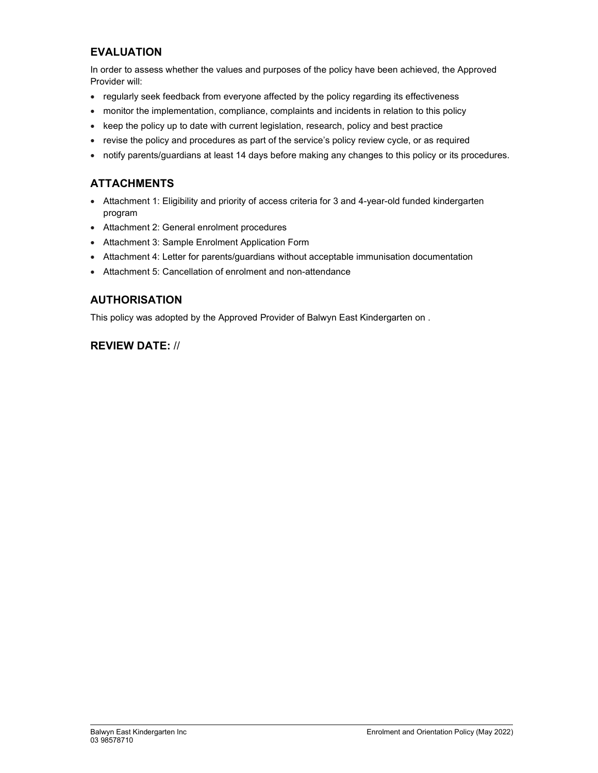## EVALUATION

In order to assess whether the values and purposes of the policy have been achieved, the Approved Provider will:

- regularly seek feedback from everyone affected by the policy regarding its effectiveness
- monitor the implementation, compliance, complaints and incidents in relation to this policy
- keep the policy up to date with current legislation, research, policy and best practice
- revise the policy and procedures as part of the service's policy review cycle, or as required
- notify parents/guardians at least 14 days before making any changes to this policy or its procedures.

## **ATTACHMENTS**

- Attachment 1: Eligibility and priority of access criteria for 3 and 4-year-old funded kindergarten program
- Attachment 2: General enrolment procedures
- Attachment 3: Sample Enrolment Application Form
- Attachment 4: Letter for parents/guardians without acceptable immunisation documentation
- Attachment 5: Cancellation of enrolment and non-attendance

## AUTHORISATION

This policy was adopted by the Approved Provider of Balwyn East Kindergarten on .

## REVIEW DATE: //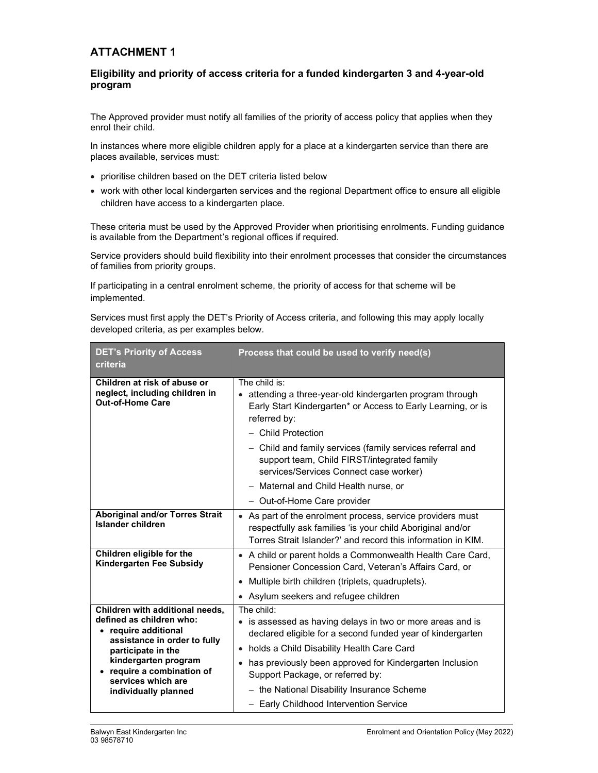## ATTACHMENT 1

## Eligibility and priority of access criteria for a funded kindergarten 3 and 4-year-old program

The Approved provider must notify all families of the priority of access policy that applies when they enrol their child.

In instances where more eligible children apply for a place at a kindergarten service than there are places available, services must:

- prioritise children based on the DET criteria listed below
- work with other local kindergarten services and the regional Department office to ensure all eligible children have access to a kindergarten place.

These criteria must be used by the Approved Provider when prioritising enrolments. Funding guidance is available from the Department's regional offices if required.

Service providers should build flexibility into their enrolment processes that consider the circumstances of families from priority groups.

If participating in a central enrolment scheme, the priority of access for that scheme will be implemented.

Services must first apply the DET's Priority of Access criteria, and following this may apply locally developed criteria, as per examples below.

| <b>DET's Priority of Access</b><br>criteria                                                                                                                     | Process that could be used to verify need(s)                                                                                                                                                                                                                |  |
|-----------------------------------------------------------------------------------------------------------------------------------------------------------------|-------------------------------------------------------------------------------------------------------------------------------------------------------------------------------------------------------------------------------------------------------------|--|
| Children at risk of abuse or<br>neglect, including children in<br><b>Out-of-Home Care</b>                                                                       | The child is:<br>• attending a three-year-old kindergarten program through<br>Early Start Kindergarten* or Access to Early Learning, or is<br>referred by:<br>- Child Protection                                                                            |  |
|                                                                                                                                                                 | - Child and family services (family services referral and<br>support team, Child FIRST/integrated family<br>services/Services Connect case worker)                                                                                                          |  |
|                                                                                                                                                                 | - Maternal and Child Health nurse, or                                                                                                                                                                                                                       |  |
|                                                                                                                                                                 | - Out-of-Home Care provider                                                                                                                                                                                                                                 |  |
| <b>Aboriginal and/or Torres Strait</b><br>Islander children                                                                                                     | • As part of the enrolment process, service providers must<br>respectfully ask families 'is your child Aboriginal and/or<br>Torres Strait Islander?' and record this information in KIM.                                                                    |  |
| Children eligible for the<br>Kindergarten Fee Subsidy                                                                                                           | • A child or parent holds a Commonwealth Health Care Card,<br>Pensioner Concession Card, Veteran's Affairs Card, or                                                                                                                                         |  |
|                                                                                                                                                                 | Multiple birth children (triplets, quadruplets).<br>$\bullet$                                                                                                                                                                                               |  |
|                                                                                                                                                                 | Asylum seekers and refugee children                                                                                                                                                                                                                         |  |
| Children with additional needs,<br>defined as children who:<br>require additional<br>assistance in order to fully<br>participate in the<br>kindergarten program | The child:<br>• is assessed as having delays in two or more areas and is<br>declared eligible for a second funded year of kindergarten<br>holds a Child Disability Health Care Card<br>$\bullet$<br>has previously been approved for Kindergarten Inclusion |  |
| require a combination of<br>services which are                                                                                                                  | Support Package, or referred by:                                                                                                                                                                                                                            |  |
| individually planned                                                                                                                                            | - the National Disability Insurance Scheme                                                                                                                                                                                                                  |  |
|                                                                                                                                                                 | - Early Childhood Intervention Service                                                                                                                                                                                                                      |  |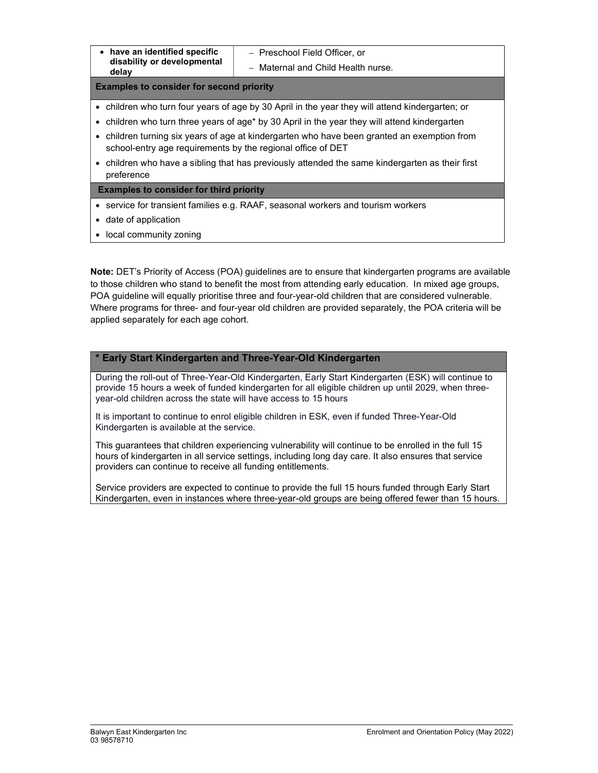| $\bullet$ | have an identified specific |
|-----------|-----------------------------|
|           | disability or developmental |
|           | delay                       |

- Preschool Field Officer, or

- Maternal and Child Health nurse.

#### Examples to consider for second priority

- children who turn four years of age by 30 April in the year they will attend kindergarten; or
- children who turn three years of age\* by 30 April in the year they will attend kindergarten
- children turning six years of age at kindergarten who have been granted an exemption from school-entry age requirements by the regional office of DET
- children who have a sibling that has previously attended the same kindergarten as their first preference

#### Examples to consider for third priority

- service for transient families e.g. RAAF, seasonal workers and tourism workers
- date of application
- local community zoning

Note: DET's Priority of Access (POA) guidelines are to ensure that kindergarten programs are available to those children who stand to benefit the most from attending early education. In mixed age groups, POA guideline will equally prioritise three and four-year-old children that are considered vulnerable. Where programs for three- and four-year old children are provided separately, the POA criteria will be applied separately for each age cohort.

#### \* Early Start Kindergarten and Three-Year-Old Kindergarten

During the roll-out of Three-Year-Old Kindergarten, Early Start Kindergarten (ESK) will continue to provide 15 hours a week of funded kindergarten for all eligible children up until 2029, when threeyear-old children across the state will have access to 15 hours

It is important to continue to enrol eligible children in ESK, even if funded Three-Year-Old Kindergarten is available at the service.

This guarantees that children experiencing vulnerability will continue to be enrolled in the full 15 hours of kindergarten in all service settings, including long day care. It also ensures that service providers can continue to receive all funding entitlements.

Service providers are expected to continue to provide the full 15 hours funded through Early Start Kindergarten, even in instances where three-year-old groups are being offered fewer than 15 hours.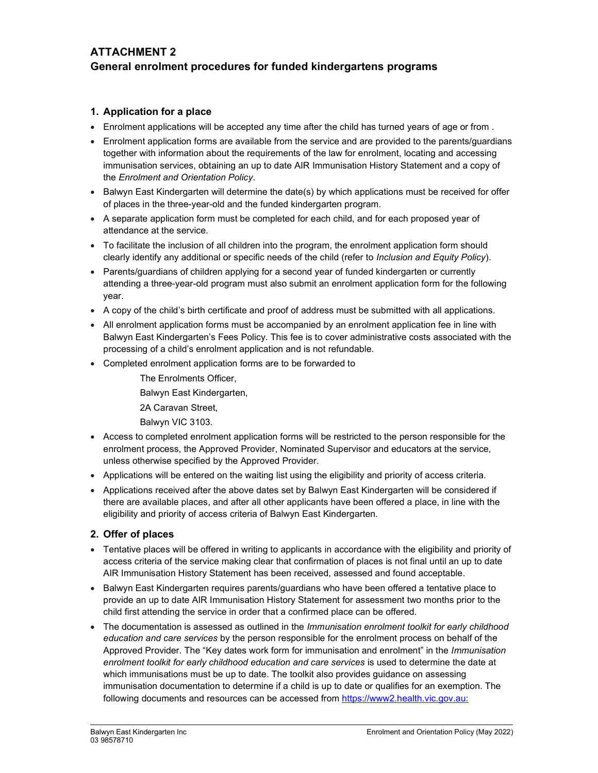## ATTACHMENT 2 General enrolment procedures for funded kindergartens programs

## 1. Application for a place

- Enrolment applications will be accepted any time after the child has turned years of age or from .
- Enrolment application forms are available from the service and are provided to the parents/guardians together with information about the requirements of the law for enrolment, locating and accessing immunisation services, obtaining an up to date AIR Immunisation History Statement and a copy of the Enrolment and Orientation Policy.
- Balwyn East Kindergarten will determine the date(s) by which applications must be received for offer of places in the three-year-old and the funded kindergarten program.
- A separate application form must be completed for each child, and for each proposed year of attendance at the service.
- To facilitate the inclusion of all children into the program, the enrolment application form should clearly identify any additional or specific needs of the child (refer to Inclusion and Equity Policy).
- Parents/guardians of children applying for a second year of funded kindergarten or currently attending a three-year-old program must also submit an enrolment application form for the following year.
- A copy of the child's birth certificate and proof of address must be submitted with all applications.
- All enrolment application forms must be accompanied by an enrolment application fee in line with Balwyn East Kindergarten's Fees Policy. This fee is to cover administrative costs associated with the processing of a child's enrolment application and is not refundable.
- Completed enrolment application forms are to be forwarded to
	- The Enrolments Officer, Balwyn East Kindergarten, 2A Caravan Street,
	- Balwyn VIC 3103.
- Access to completed enrolment application forms will be restricted to the person responsible for the enrolment process, the Approved Provider, Nominated Supervisor and educators at the service, unless otherwise specified by the Approved Provider.
- Applications will be entered on the waiting list using the eligibility and priority of access criteria.
- Applications received after the above dates set by Balwyn East Kindergarten will be considered if there are available places, and after all other applicants have been offered a place, in line with the eligibility and priority of access criteria of Balwyn East Kindergarten.

## 2. Offer of places

- Tentative places will be offered in writing to applicants in accordance with the eligibility and priority of access criteria of the service making clear that confirmation of places is not final until an up to date AIR Immunisation History Statement has been received, assessed and found acceptable.
- Balwyn East Kindergarten requires parents/guardians who have been offered a tentative place to provide an up to date AIR Immunisation History Statement for assessment two months prior to the child first attending the service in order that a confirmed place can be offered.
- The documentation is assessed as outlined in the *Immunisation enrolment toolkit for early childhood* education and care services by the person responsible for the enrolment process on behalf of the Approved Provider. The "Key dates work form for immunisation and enrolment" in the Immunisation enrolment toolkit for early childhood education and care services is used to determine the date at which immunisations must be up to date. The toolkit also provides guidance on assessing immunisation documentation to determine if a child is up to date or qualifies for an exemption. The following documents and resources can be accessed from https://www2.health.vic.gov.au: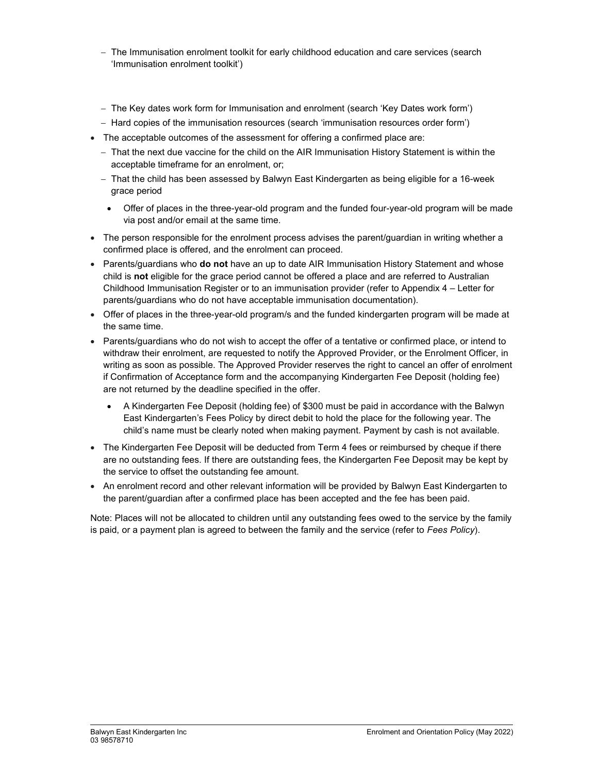- The Immunisation enrolment toolkit for early childhood education and care services (search 'Immunisation enrolment toolkit')
- The Key dates work form for Immunisation and enrolment (search 'Key Dates work form')
- Hard copies of the immunisation resources (search 'immunisation resources order form')
- The acceptable outcomes of the assessment for offering a confirmed place are:
	- That the next due vaccine for the child on the AIR Immunisation History Statement is within the acceptable timeframe for an enrolment, or;
	- That the child has been assessed by Balwyn East Kindergarten as being eligible for a 16-week grace period
		- Offer of places in the three-year-old program and the funded four-year-old program will be made via post and/or email at the same time.
- The person responsible for the enrolment process advises the parent/guardian in writing whether a confirmed place is offered, and the enrolment can proceed.
- Parents/guardians who do not have an up to date AIR Immunisation History Statement and whose child is not eligible for the grace period cannot be offered a place and are referred to Australian Childhood Immunisation Register or to an immunisation provider (refer to Appendix 4 – Letter for parents/guardians who do not have acceptable immunisation documentation).
- Offer of places in the three-year-old program/s and the funded kindergarten program will be made at the same time.
- Parents/guardians who do not wish to accept the offer of a tentative or confirmed place, or intend to withdraw their enrolment, are requested to notify the Approved Provider, or the Enrolment Officer, in writing as soon as possible. The Approved Provider reserves the right to cancel an offer of enrolment if Confirmation of Acceptance form and the accompanying Kindergarten Fee Deposit (holding fee) are not returned by the deadline specified in the offer.
	- A Kindergarten Fee Deposit (holding fee) of \$300 must be paid in accordance with the Balwyn East Kindergarten's Fees Policy by direct debit to hold the place for the following year. The child's name must be clearly noted when making payment. Payment by cash is not available.
- The Kindergarten Fee Deposit will be deducted from Term 4 fees or reimbursed by cheque if there are no outstanding fees. If there are outstanding fees, the Kindergarten Fee Deposit may be kept by the service to offset the outstanding fee amount.
- An enrolment record and other relevant information will be provided by Balwyn East Kindergarten to the parent/guardian after a confirmed place has been accepted and the fee has been paid.

Note: Places will not be allocated to children until any outstanding fees owed to the service by the family is paid, or a payment plan is agreed to between the family and the service (refer to Fees Policy).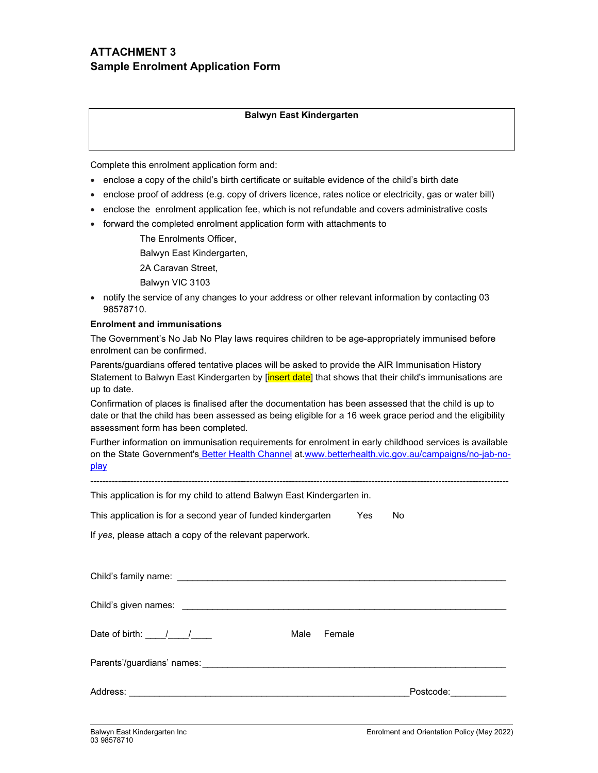## ATTACHMENT 3 Sample Enrolment Application Form

#### Balwyn East Kindergarten

Complete this enrolment application form and:

- enclose a copy of the child's birth certificate or suitable evidence of the child's birth date
- enclose proof of address (e.g. copy of drivers licence, rates notice or electricity, gas or water bill)
- enclose the enrolment application fee, which is not refundable and covers administrative costs
- forward the completed enrolment application form with attachments to

The Enrolments Officer, Balwyn East Kindergarten,

2A Caravan Street, Balwyn VIC 3103

• notify the service of any changes to your address or other relevant information by contacting 03 98578710.

#### Enrolment and immunisations

The Government's No Jab No Play laws requires children to be age-appropriately immunised before enrolment can be confirmed.

Parents/guardians offered tentative places will be asked to provide the AIR Immunisation History Statement to Balwyn East Kindergarten by [insert date] that shows that their child's immunisations are up to date.

Confirmation of places is finalised after the documentation has been assessed that the child is up to date or that the child has been assessed as being eligible for a 16 week grace period and the eligibility assessment form has been completed.

Further information on immunisation requirements for enrolment in early childhood services is available on the State Government's Better Health Channel at.www.betterhealth.vic.gov.au/campaigns/no-jab-noplay

-----------------------------------------------------------------------------------------------------------------------------------------

This application is for my child to attend Balwyn East Kindergarten in.

This application is for a second year of funded kindergarten Yes No

If yes, please attach a copy of the relevant paperwork.

| Date of birth: $\frac{1}{\sqrt{1-\frac{1}{2}}}$ | Male | Female |                                                                                                                 |
|-------------------------------------------------|------|--------|-----------------------------------------------------------------------------------------------------------------|
|                                                 |      |        |                                                                                                                 |
|                                                 |      |        | Postcode: Note that the property of the set of the set of the set of the set of the set of the set of the set o |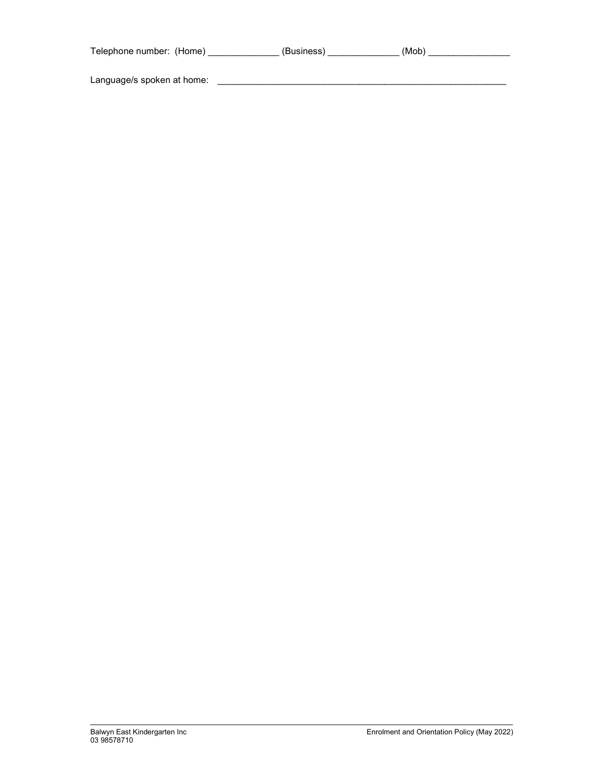| Telephone number: (Home)   | (Business) | (Mob) |
|----------------------------|------------|-------|
| Language/s spoken at home: |            |       |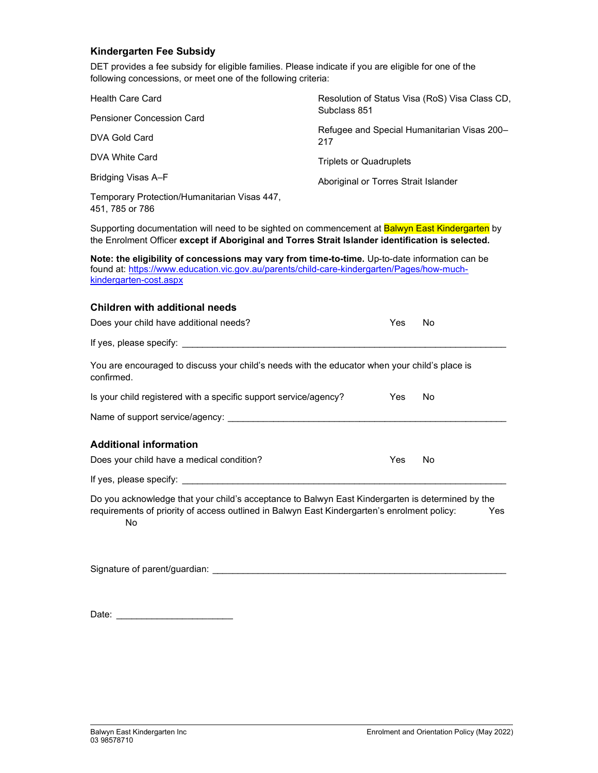## Kindergarten Fee Subsidy

DET provides a fee subsidy for eligible families. Please indicate if you are eligible for one of the following concessions, or meet one of the following criteria:

| <b>Health Care Card</b>                                         | Resolution of Status Visa (RoS) Visa Class CD,<br>Subclass 851 |  |  |
|-----------------------------------------------------------------|----------------------------------------------------------------|--|--|
| <b>Pensioner Concession Card</b>                                |                                                                |  |  |
| DVA Gold Card                                                   | Refugee and Special Humanitarian Visas 200-<br>217             |  |  |
| DVA White Card                                                  | <b>Triplets or Quadruplets</b>                                 |  |  |
| Bridging Visas A-F                                              | Aboriginal or Torres Strait Islander                           |  |  |
| Temporary Protection/Humanitarian Visas 447,<br>451, 785 or 786 |                                                                |  |  |

Supporting documentation will need to be sighted on commencement at **Balwyn East Kindergarten** by the Enrolment Officer except if Aboriginal and Torres Strait Islander identification is selected.

| <b>Note: the eligibility of concessions may vary from time-to-time.</b> Up-to-date information can be |
|-------------------------------------------------------------------------------------------------------|
| found at: https://www.education.vic.gov.au/parents/child-care-kindergarten/Pages/how-much-            |
| kindergarten-cost.aspx                                                                                |

# Children with additional needs

| Does your child have additional needs?                                                                                                                                                                                         | Yes  | No  |  |
|--------------------------------------------------------------------------------------------------------------------------------------------------------------------------------------------------------------------------------|------|-----|--|
| If yes, please specify: If yes, please specify:                                                                                                                                                                                |      |     |  |
| You are encouraged to discuss your child's needs with the educator when your child's place is<br>confirmed.                                                                                                                    |      |     |  |
| Is your child registered with a specific support service/agency?                                                                                                                                                               | Yes. | No  |  |
| Name of support service/agency: Name of support service and the service of support service and the service of                                                                                                                  |      |     |  |
| <b>Additional information</b>                                                                                                                                                                                                  |      |     |  |
| Does your child have a medical condition?                                                                                                                                                                                      | Yes  | No. |  |
| If yes, please specify: If yes, and the specify of the state of the state of the state of the state of the state of the state of the state of the state of the state of the state of the state of the state of the state of th |      |     |  |
| Do you acknowledge that your child's acceptance to Balwyn East Kindergarten is determined by the<br>requirements of priority of access outlined in Balwyn East Kindergarten's enrolment policy:<br>Yes<br>No                   |      |     |  |

Signature of parent/guardian:  $\overline{\phantom{a}}$ 

Date: \_\_\_\_\_\_\_\_\_\_\_\_\_\_\_\_\_\_\_\_\_\_\_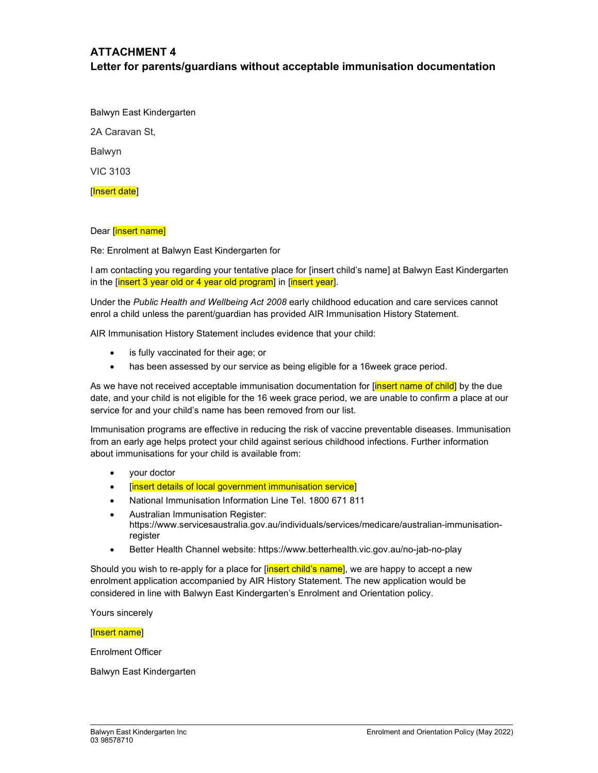## ATTACHMENT 4 Letter for parents/guardians without acceptable immunisation documentation

Balwyn East Kindergarten 2A Caravan St, Balwyn VIC 3103 [Insert date]

## Dear *[insert name]*

Re: Enrolment at Balwyn East Kindergarten for

I am contacting you regarding your tentative place for [insert child's name] at Balwyn East Kindergarten in the [insert 3 year old or 4 year old program] in [insert year].

Under the Public Health and Wellbeing Act 2008 early childhood education and care services cannot enrol a child unless the parent/guardian has provided AIR Immunisation History Statement.

AIR Immunisation History Statement includes evidence that your child:

- is fully vaccinated for their age; or
- has been assessed by our service as being eligible for a 16week grace period.

As we have not received acceptable immunisation documentation for [insert name of child] by the due date, and your child is not eligible for the 16 week grace period, we are unable to confirm a place at our service for and your child's name has been removed from our list.

Immunisation programs are effective in reducing the risk of vaccine preventable diseases. Immunisation from an early age helps protect your child against serious childhood infections. Further information about immunisations for your child is available from:

- your doctor
- [insert details of local government immunisation service]
- National Immunisation Information Line Tel. 1800 671 811
- Australian Immunisation Register: https://www.servicesaustralia.gov.au/individuals/services/medicare/australian-immunisationregister
- Better Health Channel website: https://www.betterhealth.vic.gov.au/no-jab-no-play

Should you wish to re-apply for a place for **[insert child's name**], we are happy to accept a new enrolment application accompanied by AIR History Statement. The new application would be considered in line with Balwyn East Kindergarten's Enrolment and Orientation policy.

Yours sincerely

#### [Insert name]

Enrolment Officer

Balwyn East Kindergarten